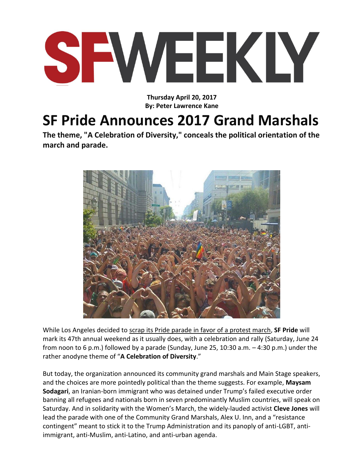

**Thursday April 20, 2017 By: Peter Lawrence Kane**

## **SF Pride Announces 2017 Grand Marshals**

**The theme, "A Celebration of Diversity," conceals the political orientation of the march and parade.**



While Los Angeles decided to scrap its Pride parade [in favor of a protest march,](http://www.advocate.com/politics/2017/3/10/la-pride-replacing-parade-protest-march) **SF Pride** will mark its 47th annual weekend as it usually does, with a celebration and rally (Saturday, June 24 from noon to 6 p.m.) followed by a parade (Sunday, June 25, 10:30 a.m. – 4:30 p.m.) under the rather anodyne theme of "**[A Celebration of Diversity](http://www.sfpride.org/)**."

But today, the organization announced its community grand marshals and Main Stage speakers, and the choices are more pointedly political than the theme suggests. For example, **Maysam Sodagari**, an Iranian-born immigrant who was detained under Trump's failed executive order banning all refugees and nationals born in seven predominantly Muslim countries, will speak on Saturday. And in solidarity with the Women's March, the widely-lauded activist **Cleve Jones** will lead the parade with one of the Community Grand Marshals, Alex U. Inn, and a "resistance contingent" meant to stick it to the Trump Administration and its panoply of anti-LGBT, antiimmigrant, anti-Muslim, anti-Latino, and anti-urban agenda.